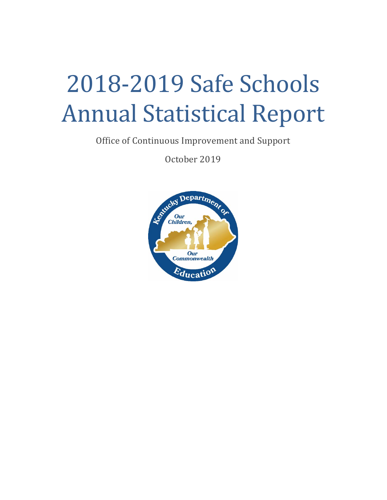# 2018-2019 Safe Schools Annual Statistical Report

Office of Continuous Improvement and Support

October 2019

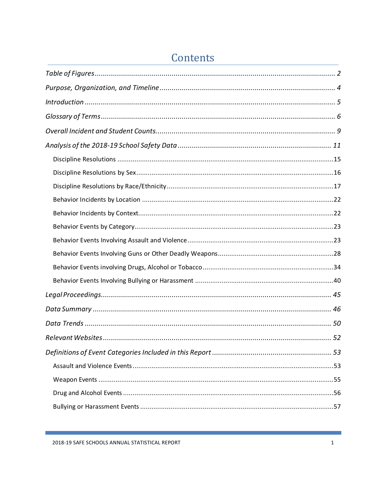# Contents

Ξ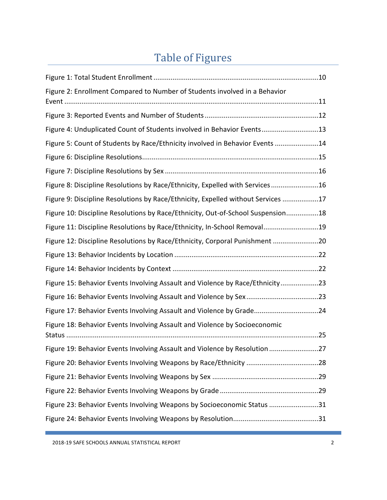# Table of Figures

<span id="page-2-0"></span>

| Figure 2: Enrollment Compared to Number of Students involved in a Behavior       |
|----------------------------------------------------------------------------------|
|                                                                                  |
| Figure 4: Unduplicated Count of Students involved in Behavior Events13           |
| Figure 5: Count of Students by Race/Ethnicity involved in Behavior Events 14     |
|                                                                                  |
|                                                                                  |
| Figure 8: Discipline Resolutions by Race/Ethnicity, Expelled with Services16     |
| Figure 9: Discipline Resolutions by Race/Ethnicity, Expelled without Services 17 |
| Figure 10: Discipline Resolutions by Race/Ethnicity, Out-of-School Suspension18  |
| Figure 11: Discipline Resolutions by Race/Ethnicity, In-School Removal19         |
| Figure 12: Discipline Resolutions by Race/Ethnicity, Corporal Punishment 20      |
|                                                                                  |
|                                                                                  |
|                                                                                  |
| Figure 15: Behavior Events Involving Assault and Violence by Race/Ethnicity23    |
|                                                                                  |
| Figure 17: Behavior Events Involving Assault and Violence by Grade24             |
| Figure 18: Behavior Events Involving Assault and Violence by Socioeconomic       |
| Figure 19: Behavior Events Involving Assault and Violence by Resolution 27       |
|                                                                                  |
|                                                                                  |
|                                                                                  |
| Figure 23: Behavior Events Involving Weapons by Socioeconomic Status 31          |

2018-19 SAFE SCHOOLS ANNUAL STATISTICAL REPORT 2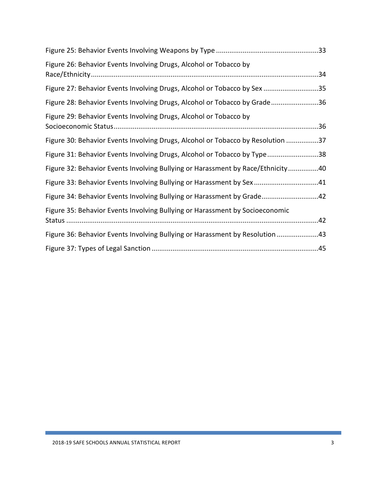| Figure 26: Behavior Events Involving Drugs, Alcohol or Tobacco by               |  |
|---------------------------------------------------------------------------------|--|
| Figure 27: Behavior Events Involving Drugs, Alcohol or Tobacco by Sex 35        |  |
| Figure 28: Behavior Events Involving Drugs, Alcohol or Tobacco by Grade36       |  |
| Figure 29: Behavior Events Involving Drugs, Alcohol or Tobacco by               |  |
| Figure 30: Behavior Events Involving Drugs, Alcohol or Tobacco by Resolution 37 |  |
| Figure 31: Behavior Events Involving Drugs, Alcohol or Tobacco by Type38        |  |
| Figure 32: Behavior Events Involving Bullying or Harassment by Race/Ethnicity40 |  |
| Figure 33: Behavior Events Involving Bullying or Harassment by Sex41            |  |
| Figure 34: Behavior Events Involving Bullying or Harassment by Grade42          |  |
| Figure 35: Behavior Events Involving Bullying or Harassment by Socioeconomic    |  |
| Figure 36: Behavior Events Involving Bullying or Harassment by Resolution 43    |  |
|                                                                                 |  |

Г

e.<br>Viite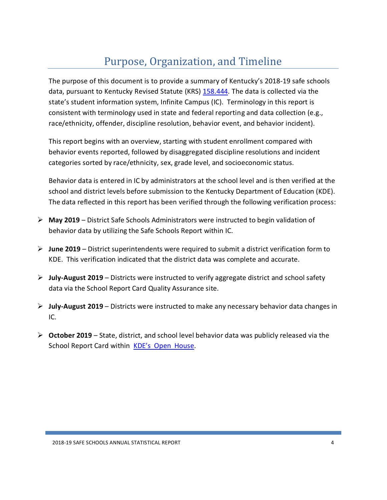# Purpose, Organization, and Timeline

<span id="page-4-0"></span>The purpose of this document is to provide a summary of Kentucky's 2018-19 safe schools data, pursuant to Kentucky Revised Statute (KRS) [158.444.](https://apps.legislature.ky.gov/law/statutes/statute.aspx?id=3519) The data is collected via the state's student information system, Infinite Campus (IC). Terminology in this report is consistent with terminology used in state and federal reporting and data collection (e.g., race/ethnicity, offender, discipline resolution, behavior event, and behavior incident).

This report begins with an overview, starting with student enrollment compared with behavior events reported, followed by disaggregated discipline resolutions and incident categories sorted by race/ethnicity, sex, grade level, and socioeconomic status.

Behavior data is entered in IC by administrators at the school level and is then verified at the school and district levels before submission to the Kentucky Department of Education (KDE). The data reflected in this report has been verified through the following verification process:

- **May 2019** District Safe Schools Administrators were instructed to begin validation of behavior data by utilizing the Safe Schools Report within IC.
- **June 2019** District superintendents were required to submit a district verification form to KDE. This verification indicated that the district data was complete and accurate.
- **July-August 2019** Districts were instructed to verify aggregate district and school safety data via the School Report Card Quality Assurance site.
- **July-August 2019** Districts were instructed to make any necessary behavior data changes in IC.
- **October 2019** State, district, and school level behavior data was publicly released via the School Report Card within KDE's Open [House.](http://openhouse.education.ky.gov/)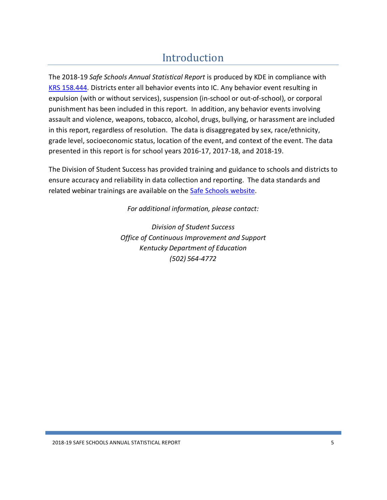# Introduction

<span id="page-5-0"></span>The 2018-19 *Safe Schools Annual Statistical Report* is produced by KDE in compliance with KRS [158.444.](https://apps.legislature.ky.gov/law/statutes/statute.aspx?id=3519) Districts enter all behavior events into IC. Any behavior event resulting in expulsion (with or without services), suspension (in-school or out-of-school), or corporal punishment has been included in this report. In addition, any behavior events involving assault and violence, weapons, tobacco, alcohol, drugs, bullying, or harassment are included in this report, regardless of resolution. The data is disaggregated by sex, race/ethnicity, grade level, socioeconomic status, location of the event, and context of the event. The data presented in this report is for school years 2016-17, 2017-18, and 2018-19.

The Division of Student Success has provided training and guidance to schools and districts to ensure accuracy and reliability in data collection and reporting. The data standards and related webinar trainings are available on the **Safe Schools website**.

*For additional information, please contact:*

*Division of Student Success Office of Continuous Improvement and Support Kentucky Department of Education (502) 564-4772*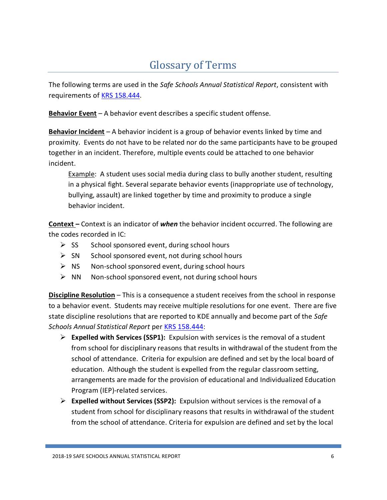# Glossary of Terms

<span id="page-6-0"></span>The following terms are used in the *Safe Schools Annual Statistical Report*, consistent with requirements of [KRS 158.444.](https://apps.legislature.ky.gov/law/statutes/statute.aspx?id=3519)

**Behavior Event** – A behavior event describes a specific student offense.

**Behavior Incident** – A behavior incident is a group of behavior events linked by time and proximity. Events do not have to be related nor do the same participants have to be grouped together in an incident. Therefore, multiple events could be attached to one behavior incident.

Example: A student uses social media during class to bully another student, resulting in a physical fight. Several separate behavior events (inappropriate use of technology, bullying, assault) are linked together by time and proximity to produce a single behavior incident.

**Context –** Context is an indicator of *when* the behavior incident occurred. The following are the codes recorded in IC:

- $\triangleright$  SS School sponsored event, during school hours
- $\triangleright$  SN School sponsored event, not during school hours
- $\triangleright$  NS Non-school sponsored event, during school hours
- $\triangleright$  NN Non-school sponsored event, not during school hours

**Discipline Resolution** – This is a consequence a student receives from the school in response to a behavior event. Students may receive multiple resolutions for one event. There are five state discipline resolutions that are reported to KDE annually and become part of the *Safe Schools Annual Statistical Report* per [KRS 158.444:](https://apps.legislature.ky.gov/law/statutes/statute.aspx?id=3519)

- **Expelled with Services (SSP1):** Expulsion with services is the removal of a student from school for disciplinary reasons that results in withdrawal of the student from the school of attendance. Criteria for expulsion are defined and set by the local board of education. Although the student is expelled from the regular classroom setting, arrangements are made for the provision of educational and Individualized Education Program (IEP)-related services.
- **Expelled without Services (SSP2):** Expulsion without services is the removal of a student from school for disciplinary reasons that results in withdrawal of the student from the school of attendance. Criteria for expulsion are defined and set by the local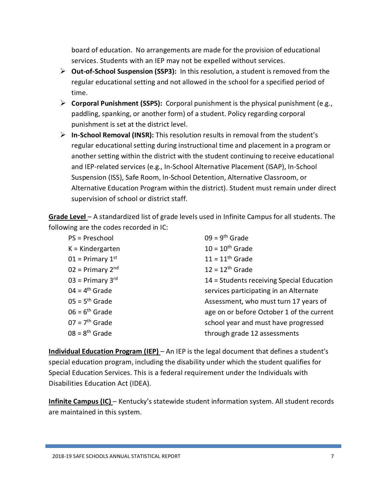board of education. No arrangements are made for the provision of educational services. Students with an IEP may not be expelled without services.

- **▷ Out-of-School Suspension (SSP3):** In this resolution, a student is removed from the regular educational setting and not allowed in the school for a specified period of time.
- **Corporal Punishment (SSP5):** Corporal punishment is the physical punishment (e.g., paddling, spanking, or another form) of a student. Policy regarding corporal punishment is set at the district level.
- **In-School Removal (INSR):** This resolution results in removal from the student's regular educational setting during instructional time and placement in a program or another setting within the district with the student continuing to receive educational and IEP-related services (e.g., In-School Alternative Placement (ISAP), In-School Suspension (ISS), Safe Room, In-School Detention, Alternative Classroom, or Alternative Education Program within the district). Student must remain under direct supervision of school or district staff.

**Grade Level** – A standardized list of grade levels used in Infinite Campus for all students. The following are the codes recorded in IC:

| PS = Preschool                 | $09 = 9th$ Grade                          |
|--------------------------------|-------------------------------------------|
| $K =$ Kindergarten             | $10 = 10$ <sup>th</sup> Grade             |
| $01$ = Primary $1st$           | $11 = 11th$ Grade                         |
| $02$ = Primary 2 <sup>nd</sup> | $12 = 12$ <sup>th</sup> Grade             |
| $03$ = Primary 3 <sup>rd</sup> | 14 = Students receiving Special Education |
| $04 = 4th$ Grade               | services participating in an Alternate    |
| $05 = 5th$ Grade               | Assessment, who must turn 17 years of     |
| $06 = 6th$ Grade               | age on or before October 1 of the current |
| $07 = 7th$ Grade               | school year and must have progressed      |
| $08 = 8th$ Grade               | through grade 12 assessments              |

**Individual Education Program (IEP)** – An IEP is the legal document that defines a student's special education program, including the disability under which the student qualifies for Special Education Services. This is a federal requirement under the Individuals with Disabilities Education Act (IDEA).

**Infinite Campus (IC)** – Kentucky's statewide student information system. All student records are maintained in this system.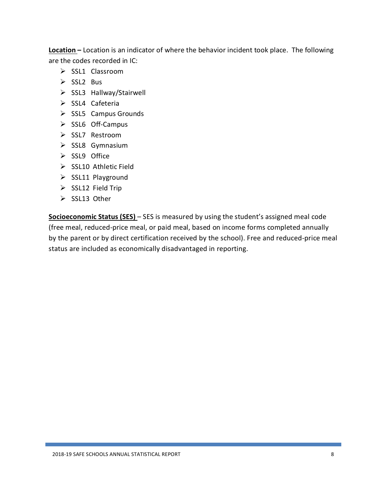**Location –** Location is an indicator of where the behavior incident took place. The following are the codes recorded in IC:

- $\triangleright$  SSL1 Classroom
- $\triangleright$  SSL2 Bus
- $\triangleright$  SSL3 Hallway/Stairwell
- $\triangleright$  SSL4 Cafeteria
- $\triangleright$  SSL5 Campus Grounds
- $\triangleright$  SSL6 Off-Campus
- $\triangleright$  SSL7 Restroom
- $\triangleright$  SSL8 Gymnasium
- $\triangleright$  SSL9 Office
- $\triangleright$  SSL10 Athletic Field
- $\triangleright$  SSL11 Playground
- $\triangleright$  SSL12 Field Trip
- $\triangleright$  SSL13 Other

**Socioeconomic Status (SES)** – SES is measured by using the student's assigned meal code (free meal, reduced-price meal, or paid meal, based on income forms completed annually by the parent or by direct certification received by the school). Free and reduced-price meal status are included as economically disadvantaged in reporting.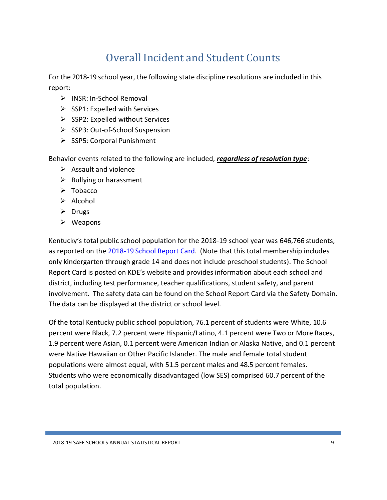# Overall Incident and Student Counts

<span id="page-9-0"></span>For the 2018-19 school year, the following state discipline resolutions are included in this report:

- $\triangleright$  INSR: In-School Removal
- $\triangleright$  SSP1: Expelled with Services
- $\triangleright$  SSP2: Expelled without Services
- $\triangleright$  SSP3: Out-of-School Suspension
- $\triangleright$  SSP5: Corporal Punishment

Behavior events related to the following are included, *regardless of resolution type*:

- $\triangleright$  Assault and violence
- $\triangleright$  Bullying or harassment
- $\triangleright$  Tobacco
- $\triangleright$  Alcohol
- $\triangleright$  Drugs
- Weapons

Kentucky's total public school population for the 2018-19 school year was 646,766 students, as reported on the [2018-19](https://www.kyschoolreportcard.com/home?year=2019) School Report Card. (Note that this total membership includes only kindergarten through grade 14 and does not include preschool students). The School Report Card is posted on KDE's website and provides information about each school and district, including test performance, teacher qualifications, student safety, and parent involvement. The safety data can be found on the School Report Card via the Safety Domain. The data can be displayed at the district or school level.

<span id="page-9-1"></span>Of the total Kentucky public school population, 76.1 percent of students were White, 10.6 percent were Black, 7.2 percent were Hispanic/Latino, 4.1 percent were Two or More Races, 1.9 percent were Asian, 0.1 percent were American Indian or Alaska Native, and 0.1 percent were Native Hawaiian or Other Pacific Islander. The male and female total student populations were almost equal, with 51.5 percent males and 48.5 percent females. Students who were economically disadvantaged (low SES) comprised 60.7 percent of the total population.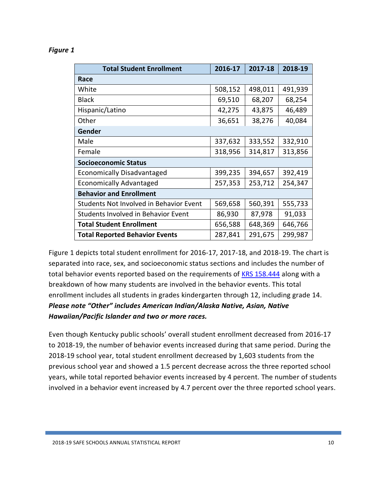| <b>Total Student Enrollment</b>                | 2016-17 | 2017-18 | 2018-19 |  |
|------------------------------------------------|---------|---------|---------|--|
| Race                                           |         |         |         |  |
| White                                          | 508,152 | 498,011 | 491,939 |  |
| <b>Black</b>                                   | 69,510  | 68,207  | 68,254  |  |
| Hispanic/Latino                                | 42,275  | 43,875  | 46,489  |  |
| Other                                          | 36,651  | 38,276  | 40,084  |  |
| Gender                                         |         |         |         |  |
| Male                                           | 337,632 | 333,552 | 332,910 |  |
| Female                                         | 318,956 | 314,817 | 313,856 |  |
| <b>Socioeconomic Status</b>                    |         |         |         |  |
| Economically Disadvantaged                     | 399,235 | 394,657 | 392,419 |  |
| <b>Economically Advantaged</b>                 | 257,353 | 253,712 | 254,347 |  |
| <b>Behavior and Enrollment</b>                 |         |         |         |  |
| <b>Students Not Involved in Behavior Event</b> | 569,658 | 560,391 | 555,733 |  |
| Students Involved in Behavior Event            | 86,930  | 87,978  | 91,033  |  |
| <b>Total Student Enrollment</b>                | 656,588 | 648,369 | 646,766 |  |
| <b>Total Reported Behavior Events</b>          | 287,841 | 291,675 | 299,987 |  |

#### *Figure 1*

Figure 1 depicts total student enrollment for 2016-17, 2017-18, and 2018-19. The chart is separated into race, sex, and socioeconomic status sections and includes the number of total behavior events reported based on the requirements of **KRS [158.444](https://apps.legislature.ky.gov/law/statutes/statute.aspx?id=3519)** along with a breakdown of how many students are involved in the behavior events. This total enrollment includes all students in grades kindergarten through 12, including grade 14. *Please note "Other" includes American Indian/Alaska Native, Asian, Native Hawaiian/Pacific Islander and two or more races.*

Even though Kentucky public schools' overall student enrollment decreased from 2016-17 to 2018-19, the number of behavior events increased during that same period. During the 2018-19 school year, total student enrollment decreased by 1,603 students from the previous school year and showed a 1.5 percent decrease across the three reported school years, while total reported behavior events increased by 4 percent. The number of students involved in a behavior event increased by 4.7 percent over the three reported school years.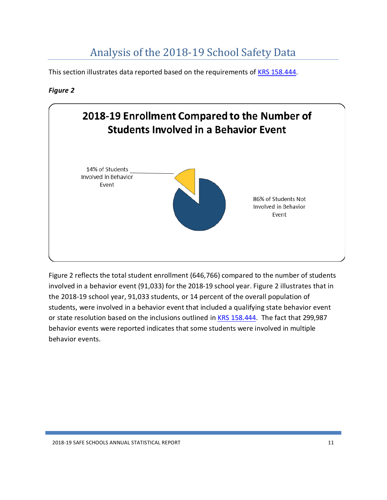# Analysis of the 2018-19 School Safety Data

<span id="page-11-0"></span>This section illustrates data reported based on the requirements of KRS [158.444.](https://apps.legislature.ky.gov/law/statutes/statute.aspx?id=3519)

### <span id="page-11-1"></span>*Figure 2*



<span id="page-11-2"></span>Figure 2 reflects the total student enrollment (646,766) compared to the number of students involved in a behavior event (91,033) for the 2018-19 school year. Figure 2 illustrates that in the 2018-19 school year, 91,033 students, or 14 percent of the overall population of students, were involved in a behavior event that included a qualifying state behavior event or state resolution based on the inclusions outlined in KRS [158.444.](https://apps.legislature.ky.gov/law/statutes/statute.aspx?id=3519) The fact that 299,987 behavior events were reported indicates that some students were involved in multiple behavior events.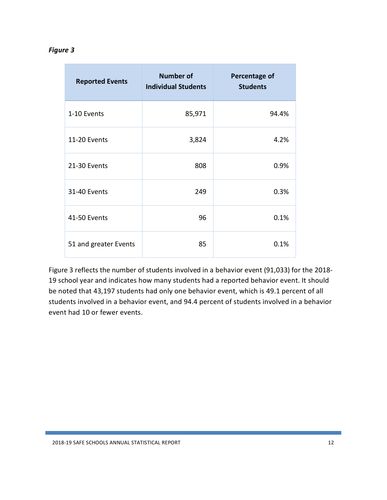#### *Figure 3*

| <b>Reported Events</b> | <b>Number of</b><br><b>Individual Students</b> | <b>Percentage of</b><br><b>Students</b> |
|------------------------|------------------------------------------------|-----------------------------------------|
| 1-10 Events            | 85,971                                         | 94.4%                                   |
| 11-20 Events           | 3,824                                          | 4.2%                                    |
| 21-30 Events           | 808                                            | 0.9%                                    |
| 31-40 Events           | 249                                            | 0.3%                                    |
| 41-50 Events           | 96                                             | 0.1%                                    |
| 51 and greater Events  | 85                                             | 0.1%                                    |

<span id="page-12-0"></span>Figure 3 reflects the number of students involved in a behavior event (91,033) for the 2018- 19 school year and indicates how many students had a reported behavior event. It should be noted that 43,197 students had only one behavior event, which is 49.1 percent of all students involved in a behavior event, and 94.4 percent of students involved in a behavior event had 10 or fewer events.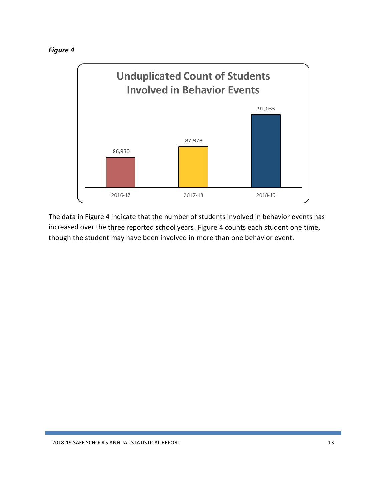



<span id="page-13-0"></span>The data in Figure 4 indicate that the number of students involved in behavior events has increased over the three reported school years. Figure 4 counts each student one time, though the student may have been involved in more than one behavior event.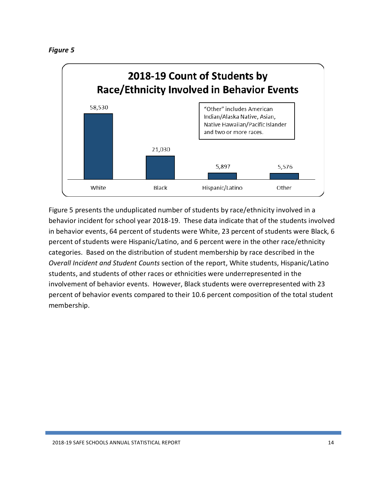

Figure 5 presents the unduplicated number of students by race/ethnicity involved in a behavior incident for school year 2018-19. These data indicate that of the students involved in behavior events, 64 percent of students were White, 23 percent of students were Black, 6 percent of students were Hispanic/Latino, and 6 percent were in the other race/ethnicity categories. Based on the distribution of student membership by race described in the *Overall Incident and Student Counts* section of the report, White students, Hispanic/Latino students, and students of other races or ethnicities were underrepresented in the involvement of behavior events. However, Black students were overrepresented with 23 percent of behavior events compared to their 10.6 percent composition of the total student membership.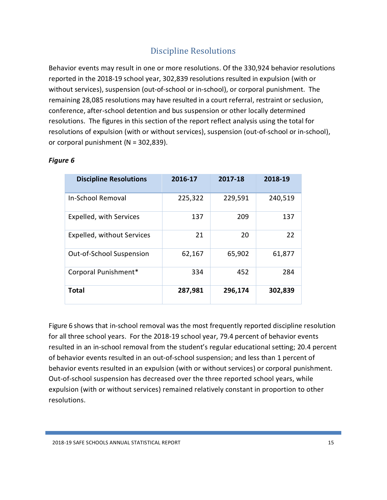## Discipline Resolutions

<span id="page-15-0"></span>Behavior events may result in one or more resolutions. Of the 330,924 behavior resolutions reported in the 2018-19 school year, 302,839 resolutions resulted in expulsion (with or without services), suspension (out-of-school or in-school), or corporal punishment. The remaining 28,085 resolutions may have resulted in a court referral, restraint or seclusion, conference, after-school detention and bus suspension or other locally determined resolutions. The figures in this section of the report reflect analysis using the total for resolutions of expulsion (with or without services), suspension (out-of-school or in-school), or corporal punishment (N = 302,839).

| <b>Discipline Resolutions</b>   | 2016-17 | 2017-18 | 2018-19 |
|---------------------------------|---------|---------|---------|
| <b>In-School Removal</b>        | 225,322 | 229,591 | 240,519 |
| Expelled, with Services         | 137     | 209     | 137     |
| Expelled, without Services      | 21      | 20      | 22      |
| <b>Out-of-School Suspension</b> | 62,167  | 65,902  | 61,877  |
| Corporal Punishment*            | 334     | 452     | 284     |
| Total                           | 287,981 | 296,174 | 302,839 |

#### <span id="page-15-1"></span>*Figure 6*

Figure 6 shows that in-school removal was the most frequently reported discipline resolution for all three school years. For the 2018-19 school year, 79.4 percent of behavior events resulted in an in-school removal from the student's regular educational setting; 20.4 percent of behavior events resulted in an out-of-school suspension; and less than 1 percent of behavior events resulted in an expulsion (with or without services) or corporal punishment. Out-of-school suspension has decreased over the three reported school years, while expulsion (with or without services) remained relatively constant in proportion to other resolutions.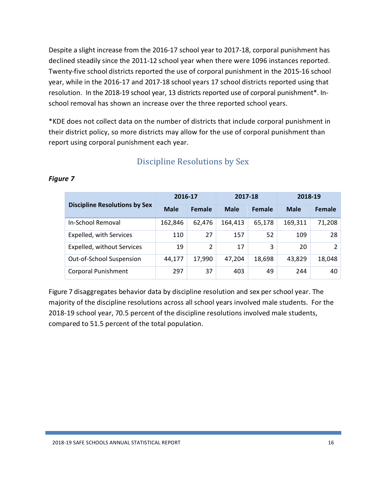Despite a slight increase from the 2016-17 school year to 2017-18, corporal punishment has declined steadily since the 2011-12 school year when there were 1096 instances reported. Twenty-five school districts reported the use of corporal punishment in the 2015-16 school year, while in the 2016-17 and 2017-18 school years 17 school districts reported using that resolution. In the 2018-19 school year, 13 districts reported use of corporal punishment\*. Inschool removal has shown an increase over the three reported school years.

\*KDE does not collect data on the number of districts that include corporal punishment in their district policy, so more districts may allow for the use of corporal punishment than report using corporal punishment each year.

|                                      | 2016-17     |        | 2017-18     |        | 2018-19     |        |
|--------------------------------------|-------------|--------|-------------|--------|-------------|--------|
| <b>Discipline Resolutions by Sex</b> | <b>Male</b> | Female | <b>Male</b> | Female | <b>Male</b> | Female |
| In-School Removal                    | 162,846     | 62,476 | 164,413     | 65,178 | 169,311     | 71,208 |
| <b>Expelled, with Services</b>       | 110         | 27     | 157         | 52     | 109         | 28     |
| Expelled, without Services           | 19          | 2      | 17          | 3      | 20          | 2      |
| Out-of-School Suspension             | 44,177      | 17,990 | 47.204      | 18,698 | 43,829      | 18,048 |
| <b>Corporal Punishment</b>           | 297         | 37     | 403         | 49     | 244         | 40     |

## <span id="page-16-1"></span>Discipline Resolutions by Sex

#### <span id="page-16-0"></span>*Figure 7*

Figure 7 disaggregates behavior data by discipline resolution and sex per school year. The majority of the discipline resolutions across all school years involved male students. For the 2018-19 school year, 70.5 percent of the discipline resolutions involved male students, compared to 51.5 percent of the total population.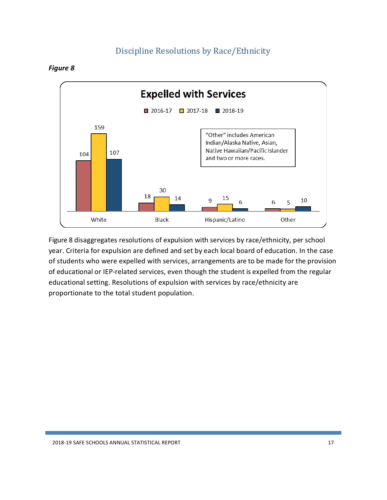## Discipline Resolutions by Race/Ethnicity

<span id="page-17-1"></span><span id="page-17-0"></span>



<span id="page-17-2"></span>Figure 8 disaggregates resolutions of expulsion with services by race/ethnicity, per school year. Criteria for expulsion are defined and set by each local board of education. In the case of students who were expelled with services, arrangements are to be made for the provision of educational or IEP-related services, even though the student is expelled from the regular educational setting. Resolutions of expulsion with services by race/ethnicity are proportionate to the total student population.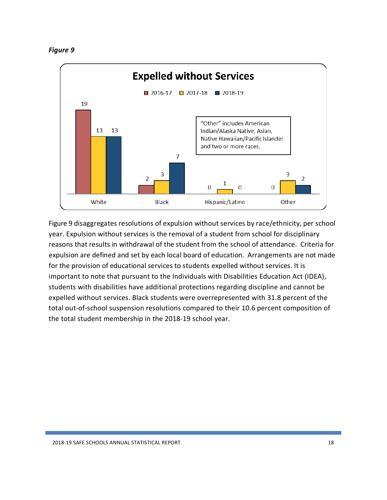

<span id="page-18-0"></span>Figure 9 disaggregates resolutions of expulsion without services by race/ethnicity, per school year. Expulsion without services is the removal of a student from school for disciplinary reasons that results in withdrawal of the student from the school of attendance. Criteria for expulsion are defined and set by each local board of education. Arrangements are not made for the provision of educational services to students expelled without services. It is important to note that pursuant to the Individuals with Disabilities Education Act (IDEA), students with disabilities have additional protections regarding discipline and cannot be expelled without services. Black students were overrepresented with 31.8 percent of the total out-of-school suspension resolutions compared to their 10.6 percent composition of the total student membership in the 2018-19 school year.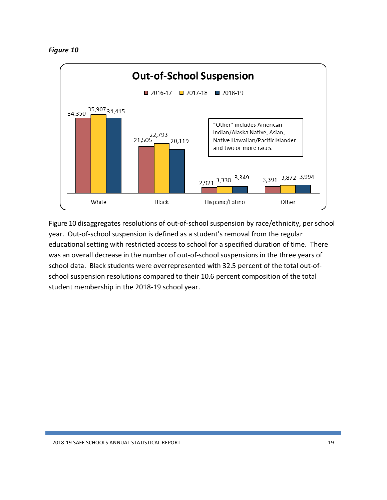

<span id="page-19-0"></span>Figure 10 disaggregates resolutions of out-of-school suspension by race/ethnicity, per school year. Out-of-school suspension is defined as a student's removal from the regular educational setting with restricted access to school for a specified duration of time. There was an overall decrease in the number of out-of-school suspensions in the three years of school data. Black students were overrepresented with 32.5 percent of the total out-ofschool suspension resolutions compared to their 10.6 percent composition of the total student membership in the 2018-19 school year.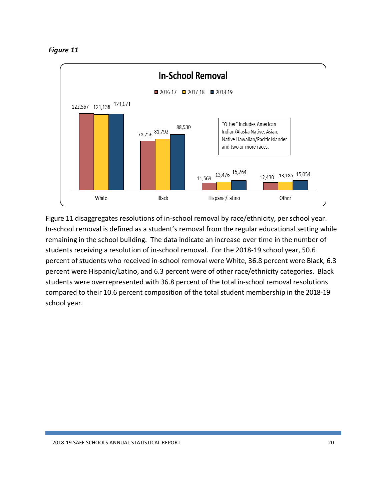*Figure 11*



<span id="page-20-0"></span>Figure 11 disaggregates resolutions of in-school removal by race/ethnicity, per school year. In-school removal is defined as a student's removal from the regular educational setting while remaining in the school building. The data indicate an increase over time in the number of students receiving a resolution of in-school removal. For the 2018-19 school year, 50.6 percent of students who received in-school removal were White, 36.8 percent were Black, 6.3 percent were Hispanic/Latino, and 6.3 percent were of other race/ethnicity categories. Black students were overrepresented with 36.8 percent of the total in-school removal resolutions compared to their 10.6 percent composition of the total student membership in the 2018-19 school year.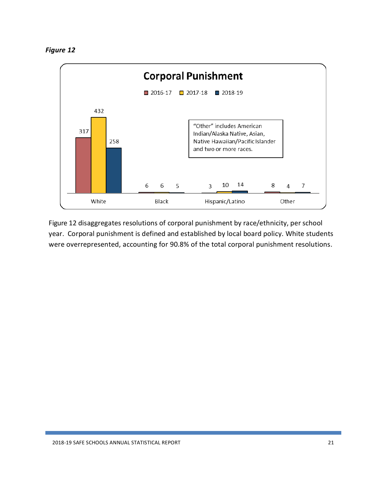

Figure 12 disaggregates resolutions of corporal punishment by race/ethnicity, per school year. Corporal punishment is defined and established by local board policy. White students were overrepresented, accounting for 90.8% of the total corporal punishment resolutions.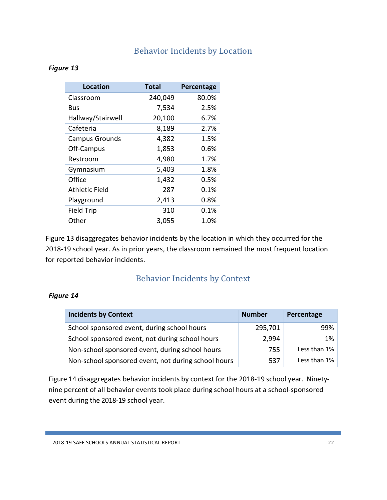## Behavior Incidents by Location

#### <span id="page-22-2"></span><span id="page-22-0"></span>*Figure 13*

| Location              | <b>Total</b> | Percentage |
|-----------------------|--------------|------------|
| Classroom             | 240,049      | 80.0%      |
| Bus                   | 7,534        | 2.5%       |
| Hallway/Stairwell     | 20,100       | 6.7%       |
| Cafeteria             | 8,189        | 2.7%       |
| <b>Campus Grounds</b> | 4,382        | 1.5%       |
| Off-Campus            | 1,853        | 0.6%       |
| Restroom              | 4,980        | 1.7%       |
| Gymnasium             | 5,403        | 1.8%       |
| Office                | 1,432        | 0.5%       |
| <b>Athletic Field</b> | 287          | 0.1%       |
| Playground            | 2,413        | 0.8%       |
| <b>Field Trip</b>     | 310          | 0.1%       |
| Other                 | 3,055        | 1.0%       |

Figure 13 disaggregates behavior incidents by the location in which they occurred for the 2018-19 school year. As in prior years, the classroom remained the most frequent location for reported behavior incidents.

## Behavior Incidents by Context

#### <span id="page-22-3"></span><span id="page-22-1"></span>*Figure 14*

| <b>Incidents by Context</b>                         | <b>Number</b> | Percentage   |
|-----------------------------------------------------|---------------|--------------|
| School sponsored event, during school hours         | 295,701       | 99%          |
| School sponsored event, not during school hours     | 2,994         | 1%           |
| Non-school sponsored event, during school hours     | 755           | Less than 1% |
| Non-school sponsored event, not during school hours | 537           | Less than 1% |

Figure 14 disaggregates behavior incidents by context for the 2018-19 school year. Ninetynine percent of all behavior events took place during school hours at a school-sponsored event during the 2018-19 school year.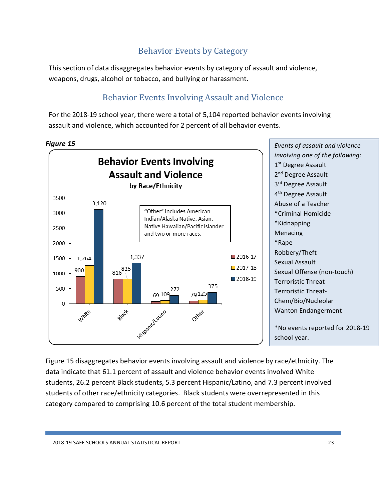## Behavior Events by Category

<span id="page-23-0"></span>This section of data disaggregates behavior events by category of assault and violence, weapons, drugs, alcohol or tobacco, and bullying or harassment.

## Behavior Events Involving Assault and Violence

<span id="page-23-1"></span>For the 2018-19 school year, there were a total of 5,104 reported behavior events involving assault and violence, which accounted for 2 percent of all behavior events.



<span id="page-23-3"></span><span id="page-23-2"></span>Figure 15 disaggregates behavior events involving assault and violence by race/ethnicity. The data indicate that 61.1 percent of assault and violence behavior events involved White students, 26.2 percent Black students, 5.3 percent Hispanic/Latino, and 7.3 percent involved students of other race/ethnicity categories. Black students were overrepresented in this category compared to comprising 10.6 percent of the total student membership.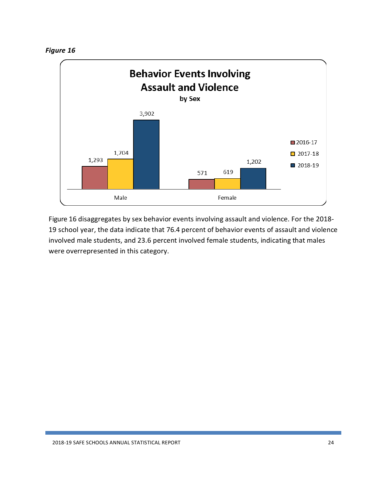



<span id="page-24-0"></span>Figure 16 disaggregates by sex behavior events involving assault and violence. For the 2018- 19 school year, the data indicate that 76.4 percent of behavior events of assault and violence involved male students, and 23.6 percent involved female students, indicating that males were overrepresented in this category.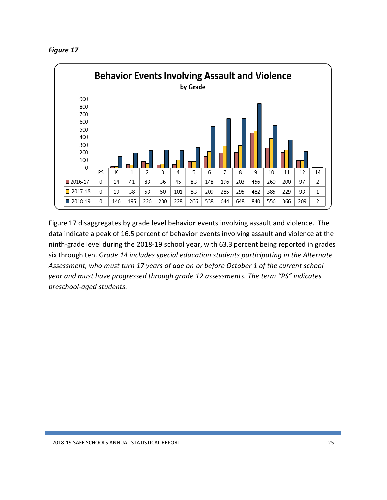| <b>Figure 1</b> |  |
|-----------------|--|
|-----------------|--|



<span id="page-25-0"></span>Figure 17 disaggregates by grade level behavior events involving assault and violence. The data indicate a peak of 16.5 percent of behavior events involving assault and violence at the ninth-grade level during the 2018-19 school year, with 63.3 percent being reported in grades six through ten. G*rade 14 includes special education students participating in the Alternate Assessment, who must turn 17 years of age on or before October 1 of the current school year and must have progressed through grade 12 assessments. The term "PS" indicates preschool-aged students.*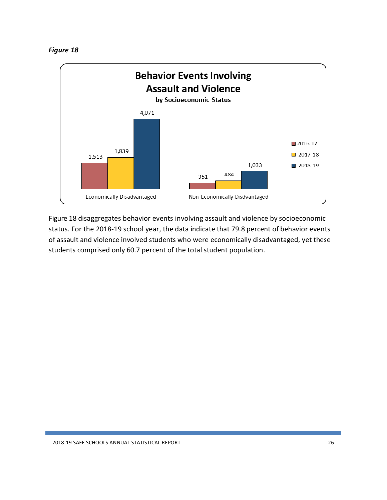

<span id="page-26-0"></span>Figure 18 disaggregates behavior events involving assault and violence by socioeconomic status. For the 2018-19 school year, the data indicate that 79.8 percent of behavior events of assault and violence involved students who were economically disadvantaged, yet these students comprised only 60.7 percent of the total student population.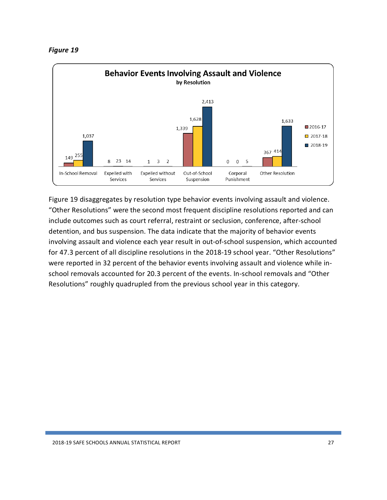



Figure 19 disaggregates by resolution type behavior events involving assault and violence. "Other Resolutions" were the second most frequent discipline resolutions reported and can include outcomes such as court referral, restraint or seclusion, conference, after-school detention, and bus suspension. The data indicate that the majority of behavior events involving assault and violence each year result in out-of-school suspension, which accounted for 47.3 percent of all discipline resolutions in the 2018-19 school year. "Other Resolutions" were reported in 32 percent of the behavior events involving assault and violence while inschool removals accounted for 20.3 percent of the events. In-school removals and "Other Resolutions" roughly quadrupled from the previous school year in this category.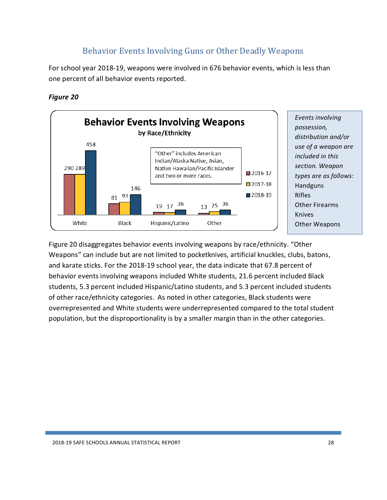## Behavior Events Involving Guns or Other Deadly Weapons

<span id="page-28-0"></span>For school year 2018-19, weapons were involved in 676 behavior events, which is less than one percent of all behavior events reported.

#### <span id="page-28-1"></span>*Figure 20*



<span id="page-28-2"></span>Figure 20 disaggregates behavior events involving weapons by race/ethnicity. "Other Weapons" can include but are not limited to pocketknives, artificial knuckles, clubs, batons, and karate sticks. For the 2018-19 school year, the data indicate that 67.8 percent of behavior events involving weapons included White students, 21.6 percent included Black students, 5.3 percent included Hispanic/Latino students, and 5.3 percent included students of other race/ethnicity categories. As noted in other categories, Black students were overrepresented and White students were underrepresented compared to the total student population, but the disproportionality is by a smaller margin than in the other categories.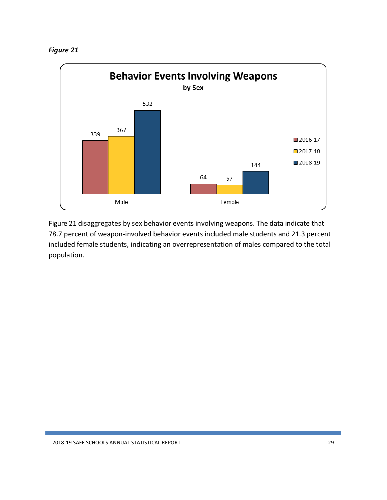

<span id="page-29-0"></span>Figure 21 disaggregates by sex behavior events involving weapons. The data indicate that 78.7 percent of weapon-involved behavior events included male students and 21.3 percent included female students, indicating an overrepresentation of males compared to the total population.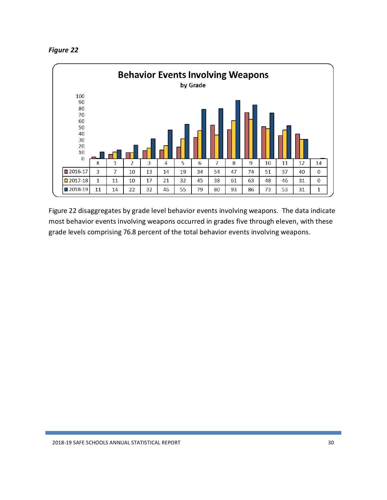



<span id="page-30-0"></span>Figure 22 disaggregates by grade level behavior events involving weapons. The data indicate most behavior events involving weapons occurred in grades five through eleven, with these grade levels comprising 76.8 percent of the total behavior events involving weapons.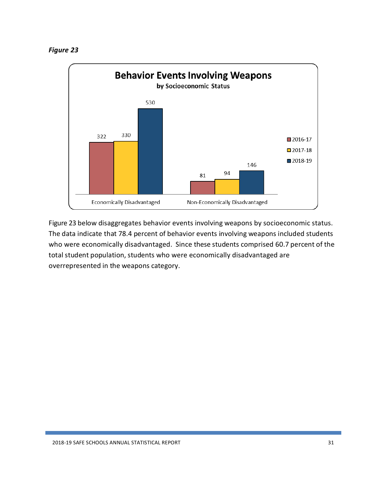



<span id="page-31-0"></span>Figure 23 below disaggregates behavior events involving weapons by socioeconomic status. The data indicate that 78.4 percent of behavior events involving weapons included students who were economically disadvantaged. Since these students comprised 60.7 percent of the total student population, students who were economically disadvantaged are overrepresented in the weapons category.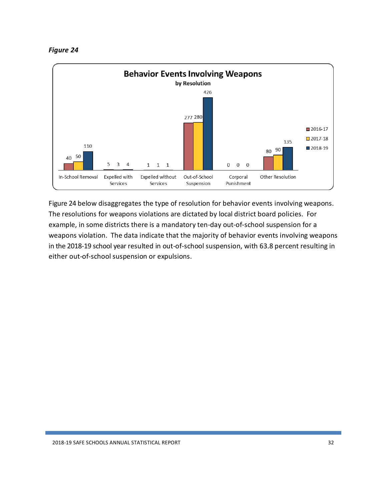



<span id="page-32-0"></span>Figure 24 below disaggregates the type of resolution for behavior events involving weapons. The resolutions for weapons violations are dictated by local district board policies. For example, in some districts there is a mandatory ten-day out-of-school suspension for a weapons violation. The data indicate that the majority of behavior events involving weapons in the 2018-19 school year resulted in out-of-school suspension, with 63.8 percent resulting in either out-of-school suspension or expulsions.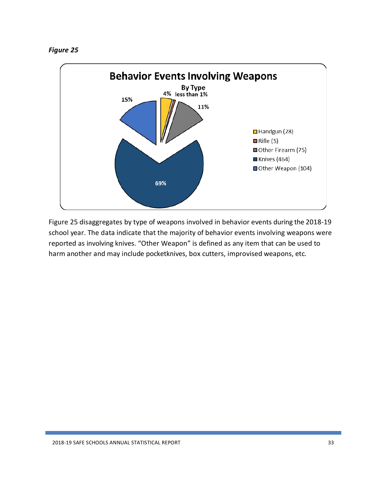

Figure 25 disaggregates by type of weapons involved in behavior events during the 2018-19 school year. The data indicate that the majority of behavior events involving weapons were reported as involving knives. "Other Weapon" is defined as any item that can be used to harm another and may include pocketknives, box cutters, improvised weapons, etc.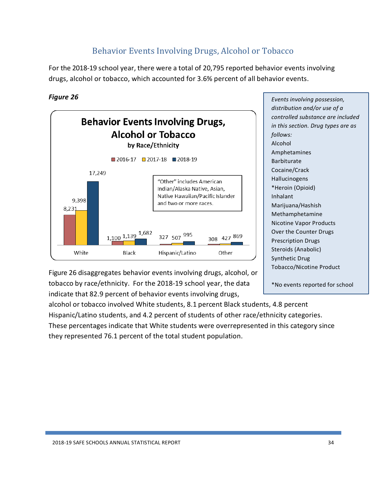## Behavior Events Involving Drugs, Alcohol or Tobacco

<span id="page-34-0"></span>For the 2018-19 school year, there were a total of 20,795 reported behavior events involving drugs, alcohol or tobacco, which accounted for 3.6% percent of all behavior events.

#### <span id="page-34-1"></span>*Figure 26*



*Events involving possession, distribution and/or use of a controlled substance are included in this section. Drug types are as follows:* Alcohol Amphetamines Barbiturate Cocaine/Crack Hallucinogens \*Heroin (Opioid) Inhalant Marijuana/Hashish Methamphetamine Nicotine Vapor Products Over the Counter Drugs Prescription Drugs Steroids (Anabolic) Synthetic Drug Tobacco/Nicotine Product

<span id="page-34-2"></span>\*No events reported for school

Figure 26 disaggregates behavior events involving drugs, alcohol, or tobacco by race/ethnicity. For the 2018-19 school year, the data indicate that 82.9 percent of behavior events involving drugs,

alcohol or tobacco involved White students, 8.1 percent Black students, 4.8 percent Hispanic/Latino students, and 4.2 percent of students of other race/ethnicity categories. These percentages indicate that White students were overrepresented in this category since they represented 76.1 percent of the total student population.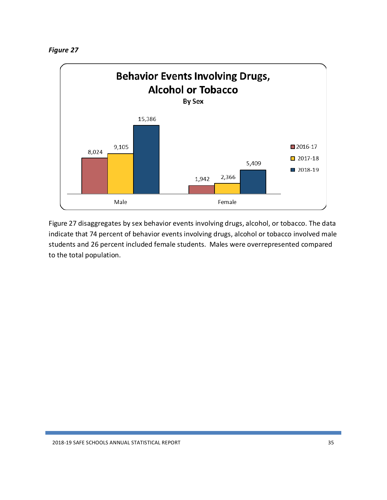

<span id="page-35-0"></span>Figure 27 disaggregates by sex behavior events involving drugs, alcohol, or tobacco. The data indicate that 74 percent of behavior events involving drugs, alcohol or tobacco involved male students and 26 percent included female students. Males were overrepresented compared to the total population.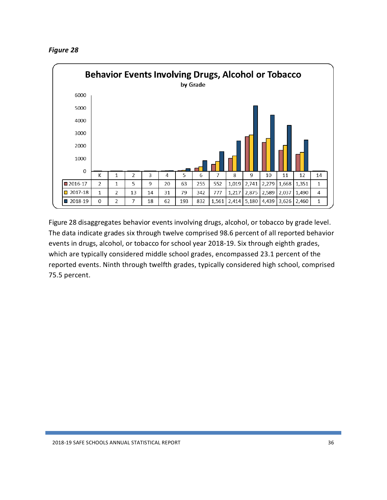



<span id="page-36-0"></span>Figure 28 disaggregates behavior events involving drugs, alcohol, or tobacco by grade level. The data indicate grades six through twelve comprised 98.6 percent of all reported behavior events in drugs, alcohol, or tobacco for school year 2018-19. Six through eighth grades, which are typically considered middle school grades, encompassed 23.1 percent of the reported events. Ninth through twelfth grades, typically considered high school, comprised 75.5 percent.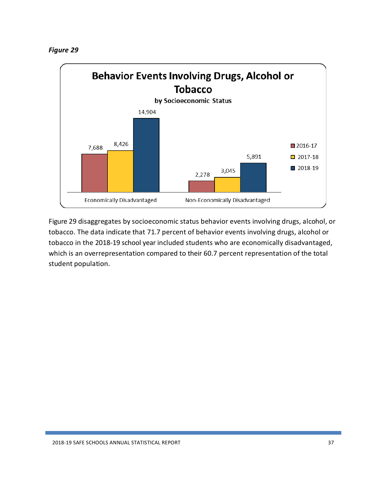*Figure 29*



<span id="page-37-0"></span>Figure 29 disaggregates by socioeconomic status behavior events involving drugs, alcohol, or tobacco. The data indicate that 71.7 percent of behavior events involving drugs, alcohol or tobacco in the 2018-19 school year included students who are economically disadvantaged, which is an overrepresentation compared to their 60.7 percent representation of the total student population.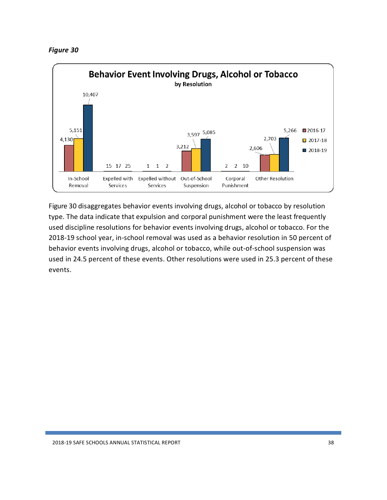



<span id="page-38-0"></span>Figure 30 disaggregates behavior events involving drugs, alcohol or tobacco by resolution type. The data indicate that expulsion and corporal punishment were the least frequently used discipline resolutions for behavior events involving drugs, alcohol or tobacco. For the 2018-19 school year, in-school removal was used as a behavior resolution in 50 percent of behavior events involving drugs, alcohol or tobacco, while out-of-school suspension was used in 24.5 percent of these events. Other resolutions were used in 25.3 percent of these events.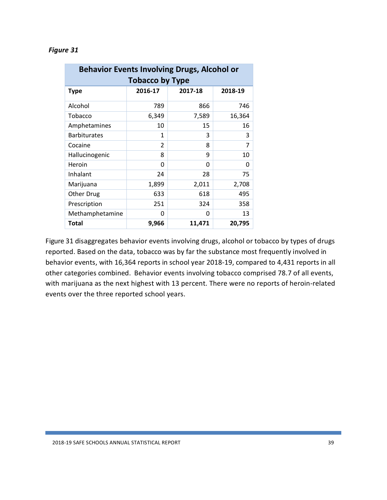| <b>Behavior Events Involving Drugs, Alcohol or</b><br><b>Tobacco by Type</b> |                |         |         |  |
|------------------------------------------------------------------------------|----------------|---------|---------|--|
| <b>Type</b>                                                                  | 2016-17        | 2017-18 | 2018-19 |  |
| Alcohol                                                                      | 789            | 866     | 746     |  |
| Tobacco                                                                      | 6,349          | 7,589   | 16,364  |  |
| Amphetamines                                                                 | 10             | 15      | 16      |  |
| <b>Barbiturates</b>                                                          | 1              | 3       | 3       |  |
| Cocaine                                                                      | $\mathfrak{p}$ | 8       | 7       |  |
| Hallucinogenic                                                               | 8              | 9       | 10      |  |
| Heroin                                                                       | 0              | ŋ       | 0       |  |
| Inhalant                                                                     | 24             | 28      | 75      |  |
| Marijuana                                                                    | 1,899          | 2,011   | 2,708   |  |
| Other Drug                                                                   | 633            | 618     | 495     |  |
| Prescription                                                                 | 251            | 324     | 358     |  |
| Methamphetamine                                                              | 0              | ŋ       | 13      |  |
| Total                                                                        | 9,966          | 11,471  | 20,795  |  |

#### *Figure 31*

Figure 31 disaggregates behavior events involving drugs, alcohol or tobacco by types of drugs reported. Based on the data, tobacco was by far the substance most frequently involved in behavior events, with 16,364 reports in school year 2018-19, compared to 4,431 reports in all other categories combined. Behavior events involving tobacco comprised 78.7 of all events, with marijuana as the next highest with 13 percent. There were no reports of heroin-related events over the three reported school years.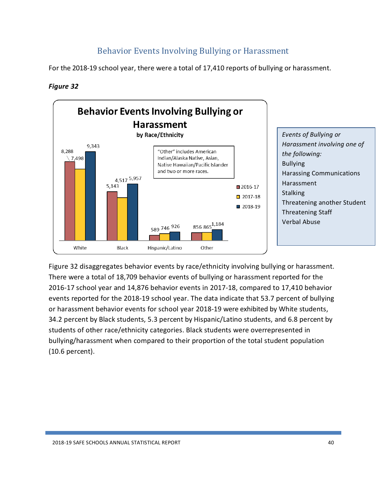## Behavior Events Involving Bullying or Harassment

<span id="page-40-0"></span>For the 2018-19 school year, there were a total of 17,410 reports of bullying or harassment.

#### <span id="page-40-1"></span>*Figure 32*



Figure 32 disaggregates behavior events by race/ethnicity involving bullying or harassment. There were a total of 18,709 behavior events of bullying or harassment reported for the 2016-17 school year and 14,876 behavior events in 2017-18, compared to 17,410 behavior events reported for the 2018-19 school year. The data indicate that 53.7 percent of bullying or harassment behavior events for school year 2018-19 were exhibited by White students, 34.2 percent by Black students, 5.3 percent by Hispanic/Latino students, and 6.8 percent by students of other race/ethnicity categories. Black students were overrepresented in bullying/harassment when compared to their proportion of the total student population (10.6 percent).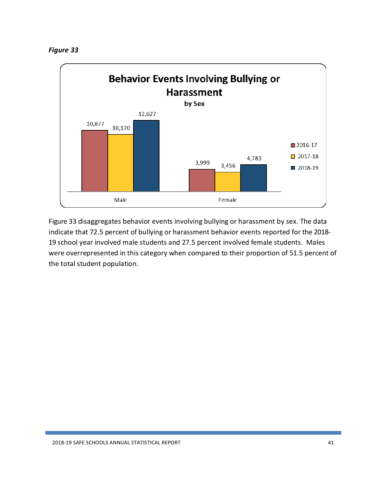<span id="page-41-0"></span>*Figure 33*



<span id="page-41-1"></span>Figure 33 disaggregates behavior events involving bullying or harassment by sex. The data indicate that 72.5 percent of bullying or harassment behavior events reported for the 2018- 19 school year involved male students and 27.5 percent involved female students. Males were overrepresented in this category when compared to their proportion of 51.5 percent of the total student population.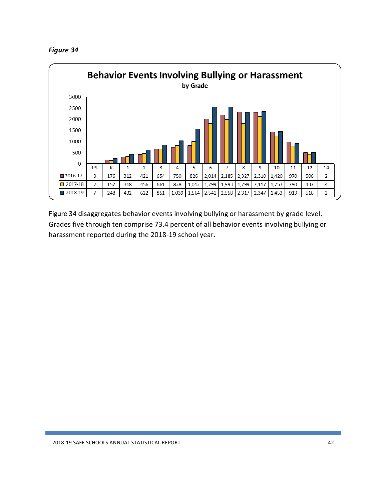



<span id="page-42-0"></span>Figure 34 disaggregates behavior events involving bullying or harassment by grade level. Grades five through ten comprise 73.4 percent of all behavior events involving bullying or harassment reported during the 2018-19 school year.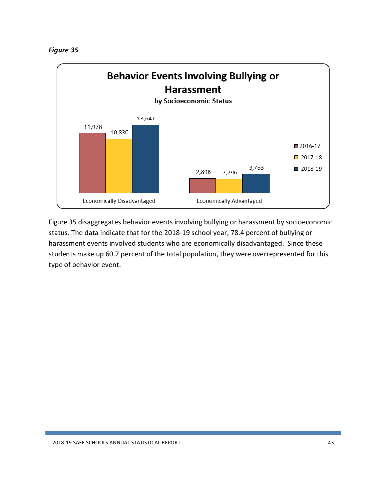

<span id="page-43-0"></span>Figure 35 disaggregates behavior events involving bullying or harassment by socioeconomic status. The data indicate that for the 2018-19 school year, 78.4 percent of bullying or harassment events involved students who are economically disadvantaged. Since these students make up 60.7 percent of the total population, they were overrepresented for this type of behavior event.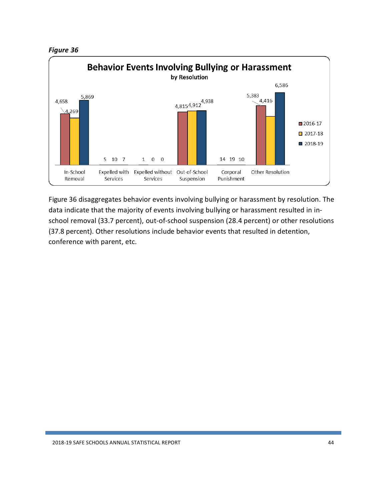



Figure 36 disaggregates behavior events involving bullying or harassment by resolution. The data indicate that the majority of events involving bullying or harassment resulted in inschool removal (33.7 percent), out-of-school suspension (28.4 percent) or other resolutions (37.8 percent). Other resolutions include behavior events that resulted in detention, conference with parent, etc.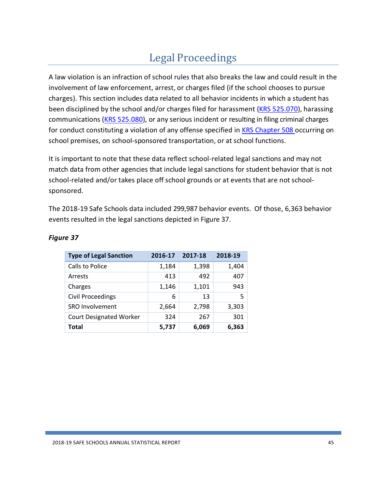# Legal Proceedings

<span id="page-45-0"></span>A law violation is an infraction of school rules that also breaks the law and could result in the involvement of law enforcement, arrest, or charges filed (if the school chooses to pursue charges). This section includes data related to all behavior incidents in which a student has been disciplined by the school and/or charges filed for harassment (KRS [525.070\)](https://apps.legislature.ky.gov/law/statutes/statute.aspx?id=19926), harassing communications (KRS [525.080\)](https://apps.legislature.ky.gov/law/statutes/statute.aspx?id=45228), or any serious incident or resulting in filing criminal charges for conduct constituting a violation of any offense specified in **KRS [Chapter](https://apps.legislature.ky.gov/law/statutes/chapter.aspx?id=39391) 508** occurring on school premises, on school-sponsored transportation, or at school functions.

It is important to note that these data reflect school-related legal sanctions and may not match data from other agencies that include legal sanctions for student behavior that is not school-related and/or takes place off school grounds or at events that are not schoolsponsored.

The 2018-19 Safe Schools data included 299,987 behavior events. Of those, 6,363 behavior events resulted in the legal sanctions depicted in Figure 37.

| <b>Type of Legal Sanction</b>  | 2016-17 | 2017-18 | 2018-19 |
|--------------------------------|---------|---------|---------|
| Calls to Police                | 1,184   | 1,398   | 1,404   |
| Arrests                        | 413     | 492     | 407     |
| Charges                        | 1,146   | 1,101   | 943     |
| Civil Proceedings              | 6       | 13      | 5       |
| SRO Involvement                | 2,664   | 2,798   | 3,303   |
| <b>Court Designated Worker</b> | 324     | 267     | 301     |
| Total                          | 5,737   | 6,069   | 6,363   |

#### <span id="page-45-1"></span>*Figure 37*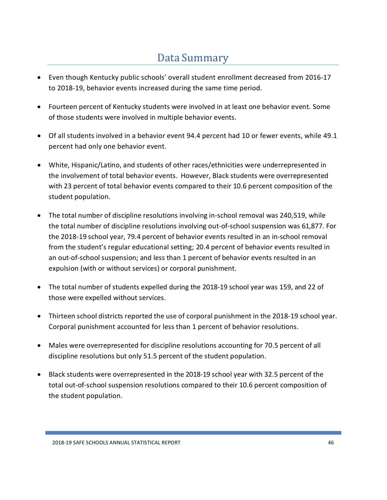# Data Summary

- <span id="page-46-0"></span>• Even though Kentucky public schools' overall student enrollment decreased from 2016-17 to 2018-19, behavior events increased during the same time period.
- Fourteen percent of Kentucky students were involved in at least one behavior event. Some of those students were involved in multiple behavior events.
- Of all students involved in a behavior event 94.4 percent had 10 or fewer events, while 49.1 percent had only one behavior event.
- White, Hispanic/Latino, and students of other races/ethnicities were underrepresented in the involvement of total behavior events. However, Black students were overrepresented with 23 percent of total behavior events compared to their 10.6 percent composition of the student population.
- The total number of discipline resolutions involving in-school removal was 240,519, while the total number of discipline resolutions involving out-of-school suspension was 61,877. For the 2018-19 school year, 79.4 percent of behavior events resulted in an in-school removal from the student's regular educational setting; 20.4 percent of behavior events resulted in an out-of-school suspension; and less than 1 percent of behavior events resulted in an expulsion (with or without services) or corporal punishment.
- The total number of students expelled during the 2018-19 school year was 159, and 22 of those were expelled without services.
- Thirteen school districts reported the use of corporal punishment in the 2018-19 school year. Corporal punishment accounted for less than 1 percent of behavior resolutions.
- Males were overrepresented for discipline resolutions accounting for 70.5 percent of all discipline resolutions but only 51.5 percent of the student population.
- Black students were overrepresented in the 2018-19 school year with 32.5 percent of the total out-of-school suspension resolutions compared to their 10.6 percent composition of the student population.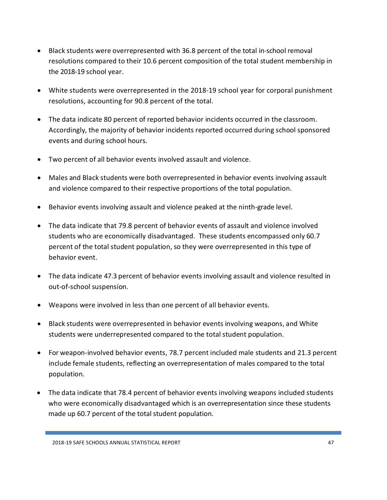- Black students were overrepresented with 36.8 percent of the total in-school removal resolutions compared to their 10.6 percent composition of the total student membership in the 2018-19 school year.
- White students were overrepresented in the 2018-19 school year for corporal punishment resolutions, accounting for 90.8 percent of the total.
- The data indicate 80 percent of reported behavior incidents occurred in the classroom. Accordingly, the majority of behavior incidents reported occurred during school sponsored events and during school hours.
- Two percent of all behavior events involved assault and violence.
- Males and Black students were both overrepresented in behavior events involving assault and violence compared to their respective proportions of the total population.
- Behavior events involving assault and violence peaked at the ninth-grade level.
- The data indicate that 79.8 percent of behavior events of assault and violence involved students who are economically disadvantaged. These students encompassed only 60.7 percent of the total student population, so they were overrepresented in this type of behavior event.
- The data indicate 47.3 percent of behavior events involving assault and violence resulted in out-of-school suspension.
- Weapons were involved in less than one percent of all behavior events.
- Black students were overrepresented in behavior events involving weapons, and White students were underrepresented compared to the total student population.
- For weapon-involved behavior events, 78.7 percent included male students and 21.3 percent include female students, reflecting an overrepresentation of males compared to the total population.
- The data indicate that 78.4 percent of behavior events involving weapons included students who were economically disadvantaged which is an overrepresentation since these students made up 60.7 percent of the total student population.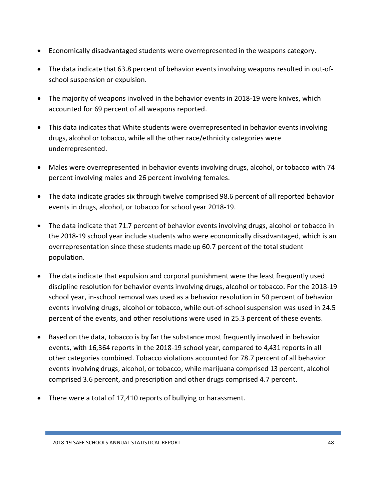- Economically disadvantaged students were overrepresented in the weapons category.
- The data indicate that 63.8 percent of behavior events involving weapons resulted in out-ofschool suspension or expulsion.
- The majority of weapons involved in the behavior events in 2018-19 were knives, which accounted for 69 percent of all weapons reported.
- This data indicates that White students were overrepresented in behavior events involving drugs, alcohol or tobacco, while all the other race/ethnicity categories were underrepresented.
- Males were overrepresented in behavior events involving drugs, alcohol, or tobacco with 74 percent involving males and 26 percent involving females.
- The data indicate grades six through twelve comprised 98.6 percent of all reported behavior events in drugs, alcohol, or tobacco for school year 2018-19.
- The data indicate that 71.7 percent of behavior events involving drugs, alcohol or tobacco in the 2018-19 school year include students who were economically disadvantaged, which is an overrepresentation since these students made up 60.7 percent of the total student population.
- The data indicate that expulsion and corporal punishment were the least frequently used discipline resolution for behavior events involving drugs, alcohol or tobacco. For the 2018-19 school year, in-school removal was used as a behavior resolution in 50 percent of behavior events involving drugs, alcohol or tobacco, while out-of-school suspension was used in 24.5 percent of the events, and other resolutions were used in 25.3 percent of these events.
- Based on the data, tobacco is by far the substance most frequently involved in behavior events, with 16,364 reports in the 2018-19 school year, compared to 4,431 reports in all other categories combined. Tobacco violations accounted for 78.7 percent of all behavior events involving drugs, alcohol, or tobacco, while marijuana comprised 13 percent, alcohol comprised 3.6 percent, and prescription and other drugs comprised 4.7 percent.
- There were a total of 17,410 reports of bullying or harassment.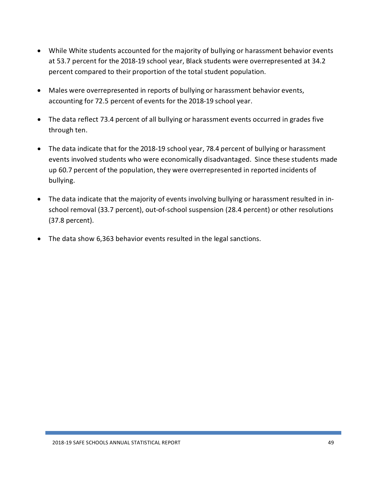- While White students accounted for the majority of bullying or harassment behavior events at 53.7 percent for the 2018-19 school year, Black students were overrepresented at 34.2 percent compared to their proportion of the total student population.
- Males were overrepresented in reports of bullying or harassment behavior events, accounting for 72.5 percent of events for the 2018-19 school year.
- The data reflect 73.4 percent of all bullying or harassment events occurred in grades five through ten.
- The data indicate that for the 2018-19 school year, 78.4 percent of bullying or harassment events involved students who were economically disadvantaged. Since these students made up 60.7 percent of the population, they were overrepresented in reported incidents of bullying.
- The data indicate that the majority of events involving bullying or harassment resulted in inschool removal (33.7 percent), out-of-school suspension (28.4 percent) or other resolutions (37.8 percent).
- The data show 6,363 behavior events resulted in the legal sanctions.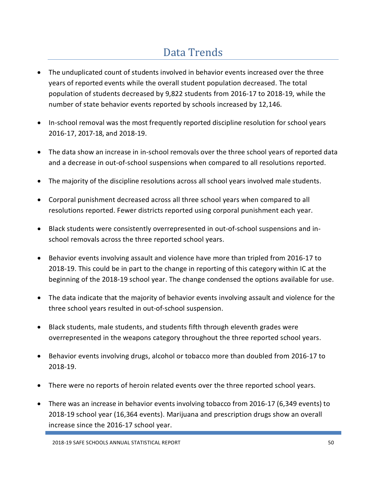# Data Trends

- <span id="page-50-0"></span>• The unduplicated count of students involved in behavior events increased over the three years of reported events while the overall student population decreased. The total population of students decreased by 9,822 students from 2016-17 to 2018-19, while the number of state behavior events reported by schools increased by 12,146.
- In-school removal was the most frequently reported discipline resolution for school years 2016-17, 2017-18, and 2018-19.
- The data show an increase in in-school removals over the three school years of reported data and a decrease in out-of-school suspensions when compared to all resolutions reported.
- The majority of the discipline resolutions across all school years involved male students.
- Corporal punishment decreased across all three school years when compared to all resolutions reported. Fewer districts reported using corporal punishment each year.
- Black students were consistently overrepresented in out-of-school suspensions and inschool removals across the three reported school years.
- Behavior events involving assault and violence have more than tripled from 2016-17 to 2018-19. This could be in part to the change in reporting of this category within IC at the beginning of the 2018-19 school year. The change condensed the options available for use.
- The data indicate that the majority of behavior events involving assault and violence for the three school years resulted in out-of-school suspension.
- Black students, male students, and students fifth through eleventh grades were overrepresented in the weapons category throughout the three reported school years.
- Behavior events involving drugs, alcohol or tobacco more than doubled from 2016-17 to 2018-19.
- There were no reports of heroin related events over the three reported school years.
- There was an increase in behavior events involving tobacco from 2016-17 (6,349 events) to 2018-19 school year (16,364 events). Marijuana and prescription drugs show an overall increase since the 2016-17 school year.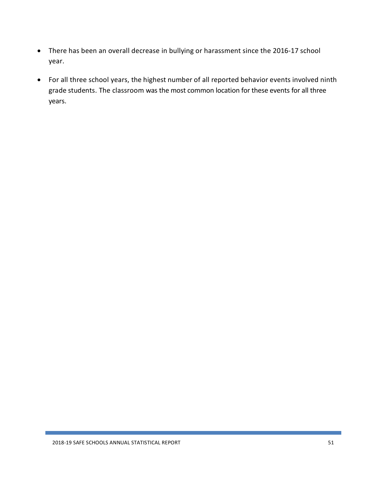- There has been an overall decrease in bullying or harassment since the 2016-17 school year.
- For all three school years, the highest number of all reported behavior events involved ninth grade students. The classroom was the most common location for these events for all three years.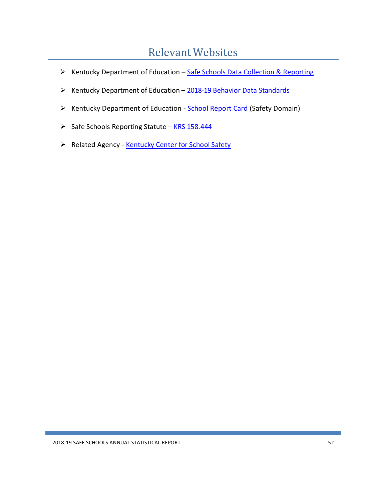## RelevantWebsites

- <span id="page-52-0"></span>▶ Kentucky Department of Education – Safe Schools Data Collection [& Reporting](http://education.ky.gov/school/sdfs/Pages/Safe-Schools-Data-Collection-and-Reporting.aspx)
- $\triangleright$  Kentucky Department of Education [2018-19 Behavior](http://education.ky.gov/districts/tech/sis/Documents/DataStandard-Behavior.pdf) Data Standards
- ▶ Kentucky Department of Education [School Report Card](https://www.kyschoolreportcard.com/home?year=2019) (Safety Domain)
- $\triangleright$  Safe Schools Reporting Statute KRS [158.444](https://apps.legislature.ky.gov/law/statutes/statute.aspx?id=3519)
- Related Agency [Kentucky](http://www.kycss.org/) Center for School Safety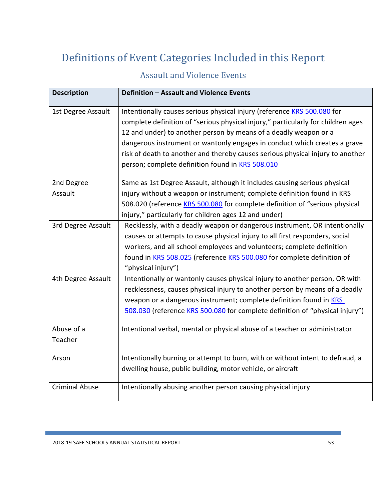# <span id="page-53-0"></span>Definitions of Event Categories Included in this Report

## Assault and Violence Events

<span id="page-53-1"></span>

| <b>Description</b>    | Definition - Assault and Violence Events                                                                                                                                                                                                                                                                                                                                                                                                                  |
|-----------------------|-----------------------------------------------------------------------------------------------------------------------------------------------------------------------------------------------------------------------------------------------------------------------------------------------------------------------------------------------------------------------------------------------------------------------------------------------------------|
| 1st Degree Assault    | Intentionally causes serious physical injury (reference KRS 500.080 for<br>complete definition of "serious physical injury," particularly for children ages<br>12 and under) to another person by means of a deadly weapon or a<br>dangerous instrument or wantonly engages in conduct which creates a grave<br>risk of death to another and thereby causes serious physical injury to another<br>person; complete definition found in <b>KRS 508.010</b> |
| 2nd Degree            | Same as 1st Degree Assault, although it includes causing serious physical                                                                                                                                                                                                                                                                                                                                                                                 |
| Assault               | injury without a weapon or instrument; complete definition found in KRS                                                                                                                                                                                                                                                                                                                                                                                   |
|                       | 508.020 (reference KRS 500.080 for complete definition of "serious physical                                                                                                                                                                                                                                                                                                                                                                               |
|                       | injury," particularly for children ages 12 and under)                                                                                                                                                                                                                                                                                                                                                                                                     |
| 3rd Degree Assault    | Recklessly, with a deadly weapon or dangerous instrument, OR intentionally<br>causes or attempts to cause physical injury to all first responders, social<br>workers, and all school employees and volunteers; complete definition<br>found in KRS 508.025 (reference KRS 500.080 for complete definition of<br>"physical injury")                                                                                                                        |
| 4th Degree Assault    | Intentionally or wantonly causes physical injury to another person, OR with                                                                                                                                                                                                                                                                                                                                                                               |
|                       | recklessness, causes physical injury to another person by means of a deadly<br>weapon or a dangerous instrument; complete definition found in KRS<br>508.030 (reference KRS 500.080 for complete definition of "physical injury")                                                                                                                                                                                                                         |
| Abuse of a            | Intentional verbal, mental or physical abuse of a teacher or administrator                                                                                                                                                                                                                                                                                                                                                                                |
| Teacher               |                                                                                                                                                                                                                                                                                                                                                                                                                                                           |
| Arson                 | Intentionally burning or attempt to burn, with or without intent to defraud, a                                                                                                                                                                                                                                                                                                                                                                            |
|                       | dwelling house, public building, motor vehicle, or aircraft                                                                                                                                                                                                                                                                                                                                                                                               |
| <b>Criminal Abuse</b> | Intentionally abusing another person causing physical injury                                                                                                                                                                                                                                                                                                                                                                                              |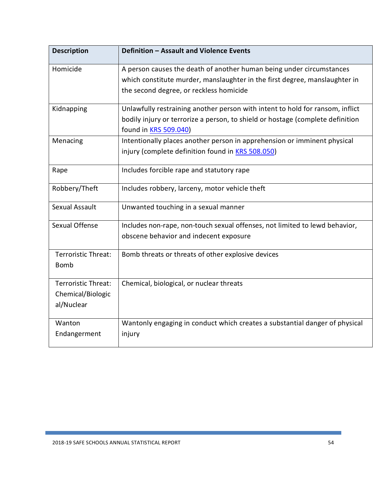| <b>Description</b>                                     | Definition - Assault and Violence Events                                                                                                                                                         |
|--------------------------------------------------------|--------------------------------------------------------------------------------------------------------------------------------------------------------------------------------------------------|
| Homicide                                               | A person causes the death of another human being under circumstances<br>which constitute murder, manslaughter in the first degree, manslaughter in<br>the second degree, or reckless homicide    |
| Kidnapping                                             | Unlawfully restraining another person with intent to hold for ransom, inflict<br>bodily injury or terrorize a person, to shield or hostage (complete definition<br>found in <b>KRS 509.040</b> ) |
| Menacing                                               | Intentionally places another person in apprehension or imminent physical<br>injury (complete definition found in <b>KRS 508.050)</b>                                                             |
| Rape                                                   | Includes forcible rape and statutory rape                                                                                                                                                        |
| Robbery/Theft                                          | Includes robbery, larceny, motor vehicle theft                                                                                                                                                   |
| Sexual Assault                                         | Unwanted touching in a sexual manner                                                                                                                                                             |
| Sexual Offense                                         | Includes non-rape, non-touch sexual offenses, not limited to lewd behavior,<br>obscene behavior and indecent exposure                                                                            |
| <b>Terroristic Threat:</b><br><b>Bomb</b>              | Bomb threats or threats of other explosive devices                                                                                                                                               |
| Terroristic Threat:<br>Chemical/Biologic<br>al/Nuclear | Chemical, biological, or nuclear threats                                                                                                                                                         |
| Wanton<br>Endangerment                                 | Wantonly engaging in conduct which creates a substantial danger of physical<br>injury                                                                                                            |

ľ

Ξ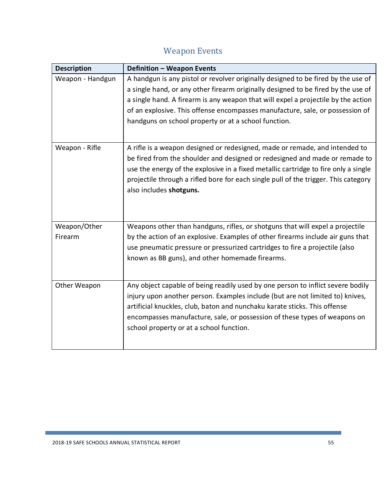# Weapon Events

<span id="page-55-0"></span>

| <b>Description</b> | <b>Definition - Weapon Events</b>                                                   |
|--------------------|-------------------------------------------------------------------------------------|
| Weapon - Handgun   | A handgun is any pistol or revolver originally designed to be fired by the use of   |
|                    | a single hand, or any other firearm originally designed to be fired by the use of   |
|                    | a single hand. A firearm is any weapon that will expel a projectile by the action   |
|                    | of an explosive. This offense encompasses manufacture, sale, or possession of       |
|                    | handguns on school property or at a school function.                                |
|                    |                                                                                     |
| Weapon - Rifle     | A rifle is a weapon designed or redesigned, made or remade, and intended to         |
|                    | be fired from the shoulder and designed or redesigned and made or remade to         |
|                    | use the energy of the explosive in a fixed metallic cartridge to fire only a single |
|                    | projectile through a rifled bore for each single pull of the trigger. This category |
|                    | also includes shotguns.                                                             |
|                    |                                                                                     |
|                    |                                                                                     |
| Weapon/Other       | Weapons other than handguns, rifles, or shotguns that will expel a projectile       |
| Firearm            | by the action of an explosive. Examples of other firearms include air guns that     |
|                    | use pneumatic pressure or pressurized cartridges to fire a projectile (also         |
|                    | known as BB guns), and other homemade firearms.                                     |
|                    |                                                                                     |
| Other Weapon       | Any object capable of being readily used by one person to inflict severe bodily     |
|                    | injury upon another person. Examples include (but are not limited to) knives,       |
|                    | artificial knuckles, club, baton and nunchaku karate sticks. This offense           |
|                    | encompasses manufacture, sale, or possession of these types of weapons on           |
|                    | school property or at a school function.                                            |
|                    |                                                                                     |
|                    |                                                                                     |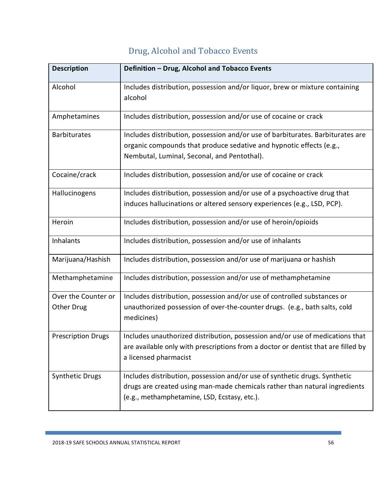<span id="page-56-0"></span>

| <b>Description</b>        | Definition - Drug, Alcohol and Tobacco Events                                            |
|---------------------------|------------------------------------------------------------------------------------------|
|                           |                                                                                          |
| Alcohol                   | Includes distribution, possession and/or liquor, brew or mixture containing              |
|                           | alcohol                                                                                  |
| Amphetamines              | Includes distribution, possession and/or use of cocaine or crack                         |
| <b>Barbiturates</b>       | Includes distribution, possession and/or use of barbiturates. Barbiturates are           |
|                           | organic compounds that produce sedative and hypnotic effects (e.g.,                      |
|                           | Nembutal, Luminal, Seconal, and Pentothal).                                              |
| Cocaine/crack             | Includes distribution, possession and/or use of cocaine or crack                         |
| Hallucinogens             | Includes distribution, possession and/or use of a psychoactive drug that                 |
|                           | induces hallucinations or altered sensory experiences (e.g., LSD, PCP).                  |
| Heroin                    | Includes distribution, possession and/or use of heroin/opioids                           |
| Inhalants                 | Includes distribution, possession and/or use of inhalants                                |
| Marijuana/Hashish         | Includes distribution, possession and/or use of marijuana or hashish                     |
| Methamphetamine           | Includes distribution, possession and/or use of methamphetamine                          |
| Over the Counter or       | Includes distribution, possession and/or use of controlled substances or                 |
| Other Drug                | unauthorized possession of over-the-counter drugs. (e.g., bath salts, cold<br>medicines) |
|                           |                                                                                          |
| <b>Prescription Drugs</b> | Includes unauthorized distribution, possession and/or use of medications that            |
|                           | are available only with prescriptions from a doctor or dentist that are filled by        |
|                           | a licensed pharmacist                                                                    |
| <b>Synthetic Drugs</b>    | Includes distribution, possession and/or use of synthetic drugs. Synthetic               |
|                           | drugs are created using man-made chemicals rather than natural ingredients               |
|                           | (e.g., methamphetamine, LSD, Ecstasy, etc.).                                             |

# Drug, Alcohol and Tobacco Events